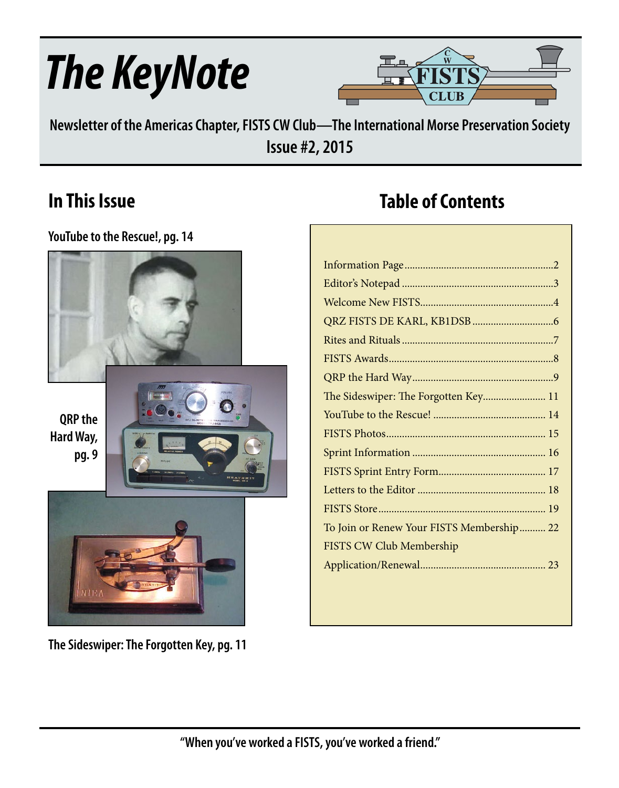# *The KeyNote*



**Newsletter of the Americas Chapter, FISTS CW Club—The International Morse Preservation Society Issue #2, 2015**

## **In This Issue**

**YouTube to the Rescue!, pg. 14**



**The Sideswiper: The Forgotten Key, pg. 11**

## **Table of Contents**

| The Sideswiper: The Forgotten Key 11      |
|-------------------------------------------|
|                                           |
|                                           |
|                                           |
|                                           |
|                                           |
|                                           |
| To Join or Renew Your FISTS Membership 22 |
| <b>FISTS CW Club Membership</b>           |
|                                           |
|                                           |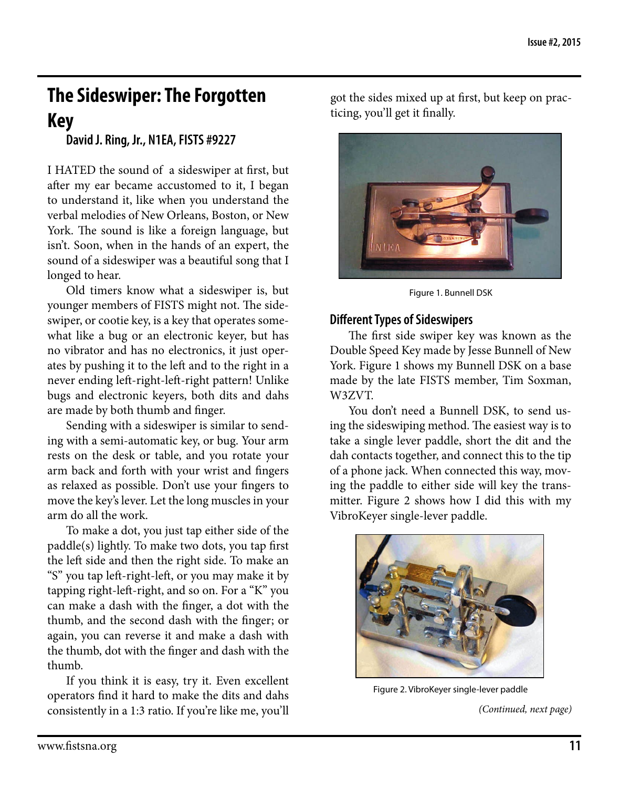## **The Sideswiper: The Forgotten Key**

**David J. Ring, Jr., N1EA, FISTS #9227**

I HATED the sound of a sideswiper at first, but after my ear became accustomed to it, I began to understand it, like when you understand the verbal melodies of New Orleans, Boston, or New York. The sound is like a foreign language, but isn't. Soon, when in the hands of an expert, the sound of a sideswiper was a beautiful song that I longed to hear.

Old timers know what a sideswiper is, but younger members of FISTS might not. The sideswiper, or cootie key, is a key that operates somewhat like a bug or an electronic keyer, but has no vibrator and has no electronics, it just operates by pushing it to the left and to the right in a never ending left-right-left-right pattern! Unlike bugs and electronic keyers, both dits and dahs are made by both thumb and finger.

Sending with a sideswiper is similar to sending with a semi-automatic key, or bug. Your arm rests on the desk or table, and you rotate your arm back and forth with your wrist and fingers as relaxed as possible. Don't use your fingers to move the key's lever. Let the long muscles in your arm do all the work.

To make a dot, you just tap either side of the paddle(s) lightly. To make two dots, you tap first the left side and then the right side. To make an "S" you tap left-right-left, or you may make it by tapping right-left-right, and so on. For a "K" you can make a dash with the finger, a dot with the thumb, and the second dash with the finger; or again, you can reverse it and make a dash with the thumb, dot with the finger and dash with the thumb.

If you think it is easy, try it. Even excellent operators find it hard to make the dits and dahs consistently in a 1:3 ratio. If you're like me, you'll

got the sides mixed up at first, but keep on practicing, you'll get it finally.



Figure 1. Bunnell DSK

#### **Different Types of Sideswipers**

The first side swiper key was known as the Double Speed Key made by Jesse Bunnell of New York. Figure 1 shows my Bunnell DSK on a base made by the late FISTS member, Tim Soxman, W3ZVT.

You don't need a Bunnell DSK, to send using the sideswiping method. The easiest way is to take a single lever paddle, short the dit and the dah contacts together, and connect this to the tip of a phone jack. When connected this way, moving the paddle to either side will key the transmitter. Figure 2 shows how I did this with my VibroKeyer single-lever paddle.



Figure 2. VibroKeyer single-lever paddle *(Continued, next page)*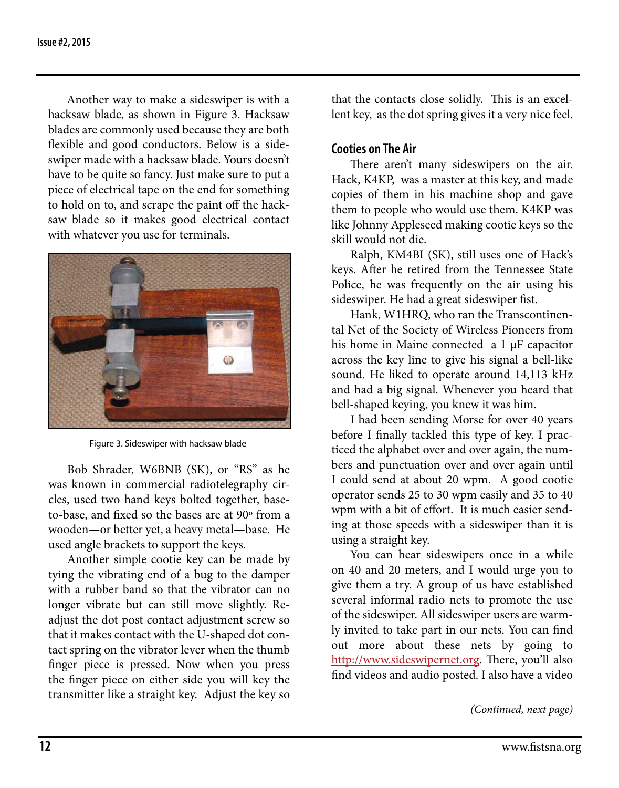Another way to make a sideswiper is with a hacksaw blade, as shown in Figure 3. Hacksaw blades are commonly used because they are both flexible and good conductors. Below is a sideswiper made with a hacksaw blade. Yours doesn't have to be quite so fancy. Just make sure to put a piece of electrical tape on the end for something to hold on to, and scrape the paint off the hacksaw blade so it makes good electrical contact with whatever you use for terminals.



Figure 3. Sideswiper with hacksaw blade

Bob Shrader, W6BNB (SK), or "RS" as he was known in commercial radiotelegraphy circles, used two hand keys bolted together, baseto-base, and fixed so the bases are at 90º from a wooden—or better yet, a heavy metal—base. He used angle brackets to support the keys.

Another simple cootie key can be made by tying the vibrating end of a bug to the damper with a rubber band so that the vibrator can no longer vibrate but can still move slightly. Readjust the dot post contact adjustment screw so that it makes contact with the U-shaped dot contact spring on the vibrator lever when the thumb finger piece is pressed. Now when you press the finger piece on either side you will key the transmitter like a straight key. Adjust the key so

that the contacts close solidly. This is an excellent key, as the dot spring gives it a very nice feel.

#### **Cooties on The Air**

There aren't many sideswipers on the air. Hack, K4KP, was a master at this key, and made copies of them in his machine shop and gave them to people who would use them. K4KP was like Johnny Appleseed making cootie keys so the skill would not die.

Ralph, KM4BI (SK), still uses one of Hack's keys. After he retired from the Tennessee State Police, he was frequently on the air using his sideswiper. He had a great sideswiper fist.

Hank, W1HRQ, who ran the Transcontinental Net of the Society of Wireless Pioneers from his home in Maine connected a 1 µF capacitor across the key line to give his signal a bell-like sound. He liked to operate around 14,113 kHz and had a big signal. Whenever you heard that bell-shaped keying, you knew it was him.

I had been sending Morse for over 40 years before I finally tackled this type of key. I practiced the alphabet over and over again, the numbers and punctuation over and over again until I could send at about 20 wpm. A good cootie operator sends 25 to 30 wpm easily and 35 to 40 wpm with a bit of effort. It is much easier sending at those speeds with a sideswiper than it is using a straight key.

You can hear sideswipers once in a while on 40 and 20 meters, and I would urge you to give them a try. A group of us have established several informal radio nets to promote the use of the sideswiper. All sideswiper users are warmly invited to take part in our nets. You can find out more about these nets by going to <http://www.sideswipernet.org>. There, you'll also find videos and audio posted. I also have a video

*(Continued, next page)*